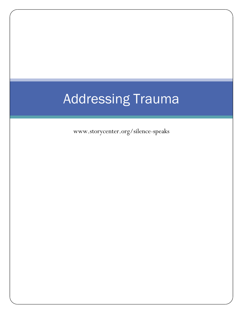# Addressing Trauma

www.storycenter.org/silence-speaks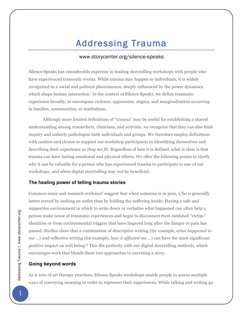# Addressing Trauma

# www.storycenter.org/silence-speaks

Silence Speaks has considerable expertise in leading storytelling workshops with people who have experienced traumatic events. While trauma may happen to individuals, it is widely recognized as a social and political phenomenon, deeply influenced by the power dynamics which shape human interaction.<sup>i</sup> In the context of Silence Speaks, we define traumatic experience broadly, to encompass violence, oppression, stigma, and marginalization occurring in families, communities, or institutions.

Although more limited definitions of "trauma" may be useful for establishing a shared understanding among researchers, clinicians, and activists, we recognize that they can also limit inquiry and unfairly pathologize both individuals and groups. We therefore employ definitions with caution and choose to support our workshop participants in identifying themselves and describing their experience *as they see fit.* Regardless of how it is defined, what is clear is that trauma can have lasting emotional and physical effects. We offer the following points to clarify why it can be valuable for a person who has experienced trauma to participate in one of our workshops, and when digital storytelling may *not* be beneficial.

### **The healing power of telling trauma stories**

Common sense and research evidenceii suggest that when someone is in pain, s/he is generally better served by seeking an outlet than by holding the suffering inside. Having a safe and supportive environment in which to write down or verbalize what happened can often help a person make sense of traumatic experiences and begin to disconnect from outdated "victim" identities or from environmental triggers that have lingered long after the danger or pain has passed. Studies show that a combination of descriptive writing (for example, *what happened to me* …) *and* reflective writing (for example, *how it affected me* …) can have the most significant positive impact on well being.<sup>iii</sup> This fits perfectly with our digital storytelling methods, which encourages work that blends these two approaches to narrating a story.

### **Going beyond words**

As is true of art therapy practices, Silence Speaks workshops enable people to access multiple ways of conveying meaning in order to represent their experiences. While talking and writing go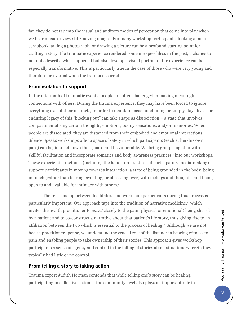far, they do not tap into the visual and auditory modes of perception that come into play when we hear music or view still/moving images. For many workshop participants, looking at an old scrapbook, taking a photograph, or drawing a picture can be a profound starting point for crafting a story. If a traumatic experience rendered someone speechless in the past, a chance to not only describe what happened but also develop a visual portrait of the experience can be especially transformative. This is particularly true in the case of those who were very young and therefore pre-verbal when the trauma occurred.

# **From isolation to support**

In the aftermath of traumatic events, people are often challenged in making meaningful connections with others. During the trauma experience, they may have been forced to ignore everything except their instincts, in order to maintain basic functioning or simply stay alive. The enduring legacy of this "blocking out" can take shape as dissociation – a state that involves compartmentalizing certain thoughts, emotions, bodily sensations, and/or memories. When people are dissociated, they are distanced from their embodied and emotional interactions. Silence Speaks workshops offer a space of safety in which participants (each at her/his own pace) can begin to let down their guard and be vulnerable. We bring groups together with skillful facilitation and incorporate somatics and body awareness practicesiv into our workshops. These experiential methods (including the hands-on practices of participatory media-making) support participants in moving towards integration: a state of being grounded in the body, being in touch (rather than fearing, avoiding, or obsessing over) with feelings and thoughts, and being open to and available for intimacy with others.<sup>v</sup>

The relationship between facilitators and workshop participants during this process is particularly important. Our approach taps into the tradition of narrative medicine, v<sup>i</sup> which invites the health practitioner to *attend* closely to the pain (physical or emotional) being shared by a patient and to co-construct a narrative about that patient's life story, thus giving rise to an affiliation between the two which is essential to the process of healing.<sup>vii</sup> Although we are not health practitioners per se, we understand the crucial role of the listener in bearing witness to pain and enabling people to take ownership of their stories. This approach gives workshop participants a sense of agency and control in the telling of stories about situations wherein they typically had little or no control.

# **From telling a story to taking action**

Trauma expert Judith Herman contends that while telling one's story can be healing, participating in collective action at the community level also plays an important role in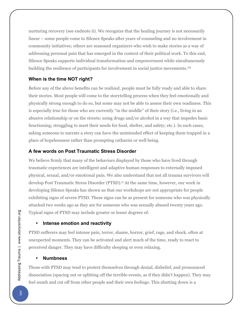nurturing recovery (see endnote ii). We recognize that the healing journey is not necessarily linear – some people come to Silence Speaks after years of counseling and no involvement in community initiatives; others are seasoned organizers who wish to make stories as a way of addressing personal pain that has emerged in the context of their political work. To this end, Silence Speaks supports individual transformation and empowerment while simultaneously building the resilience of participants for involvement in social justice movements.<sup>viii</sup>

# **When is the time NOT right?**

Before any of the above benefits can be realized, people must be fully ready and able to share their stories. Most people will come to the storytelling process when they feel emotionally and physically strong enough to do so, but some may not be able to assess their own readiness. This is especially true for those who are currently "in the middle" of their story (i.e., living in an abusive relationship or on the streets; using drugs and/or alcohol in a way that impedes basic functioning; struggling to meet their needs for food, shelter, and safety; etc.). In such cases, asking someone to narrate a story can have the unintended effect of keeping them trapped in a place of hopelessness rather than prompting catharsis or well being.

# **A few words on Post Traumatic Stress Disorder**

We believe firmly that many of the behaviors displayed by those who have lived through traumatic experiences are intelligent and adaptive human responses to externally imposed physical, sexual, and/or emotional pain. We also understand that not all trauma survivors will develop Post Traumatic Stress Disorder (PTSD).<sup>ix</sup> At the same time, however, our work in developing Silence Speaks has shown us that our workshops are not appropriate for people exhibiting signs of severe PTSD. These signs can be as present for someone who was physically attacked two weeks ago as they are for someone who was sexually abused twenty years ago. Typical signs of PTSD may include greater or lesser degrees of:

# • **Intense emotion and reactivity**

PTSD sufferers may feel intense pain, terror, shame, horror, grief, rage, and shock, often at unexpected moments. They can be activated and alert much of the time, ready to react to perceived danger. They may have difficulty sleeping or even relaxing.

# • **Numbness**

Those with PTSD may tend to protect themselves through denial, disbelief, and pronounced dissociation (spacing out or splitting off the terrible events, as if they didn't happen). They may feel numb and cut off from other people and their own feelings. This shutting down is a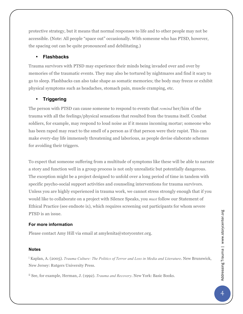protective strategy, but it means that normal responses to life and to other people may not be accessible. (Note: All people "space out" occasionally. With someone who has PTSD, however, the spacing out can be quite pronounced and debilitating.)

# • **Flashbacks**

Trauma survivors with PTSD may experience their minds being invaded over and over by memories of the traumatic events. They may also be tortured by nightmares and find it scary to go to sleep. Flashbacks can also take shape as somatic memories; the body may freeze or exhibit physical symptoms such as headaches, stomach pain, muscle cramping, etc.

# • **Triggering**

The person with PTSD can cause someone to respond to events that *remind* her/him of the trauma with all the feelings/physical sensations that resulted from the trauma itself. Combat soldiers, for example, may respond to loud noise as if it means incoming mortar; someone who has been raped may react to the smell of a person as if that person were their rapist. This can make every-day life immensely threatening and laborious, as people devise elaborate schemes for avoiding their triggers.

To expect that someone suffering from a multitude of symptoms like these will be able to narrate a story and function well in a group process is not only unrealistic but potentially dangerous. The exception might be a project designed to unfold over a long period of time in tandem with specific psycho-social support activities and counseling interventions for trauma survivors. Unless you are highly experienced in trauma work, we cannot stress strongly enough that if you would like to collaborate on a project with Silence Speaks, you *must* follow our Statement of Ethical Practice (see endnote ix), which requires screening out participants for whom severe PTSD is an issue.

### **For more information**

Please contact Amy Hill via email at amylenita@storycenter.org.

### **Notes**

<sup>i</sup> Kaplan, A. (2005). *Trauma Culture: The Politics of Terror and Loss in Media and Literature*. New Brunswick, New Jersey: Rutgers University Press.

ii See, for example, Herman, J. (1992). *Trauma and Recovery*. New York: Basic Books.